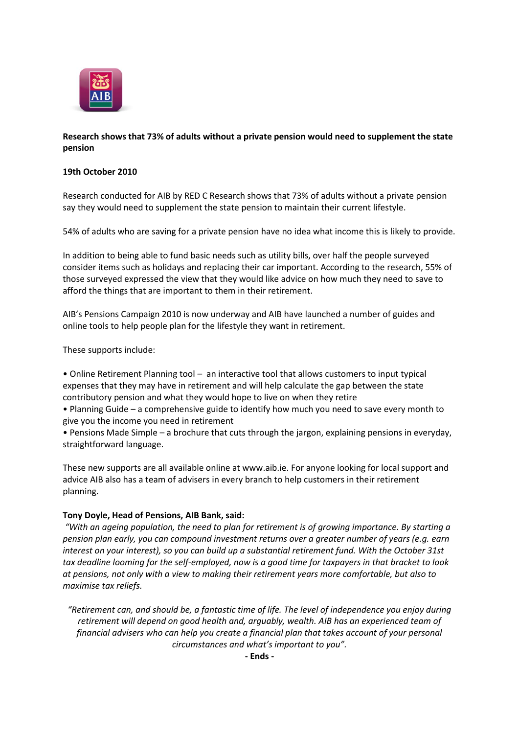

# **Research shows that 73% of adults without a private pension would need to supplement the state pension**

# **19th October 2010**

Research conducted for AIB by RED C Research shows that 73% of adults without a private pension say they would need to supplement the state pension to maintain their current lifestyle.

54% of adults who are saving for a private pension have no idea what income this is likely to provide.

In addition to being able to fund basic needs such as utility bills, over half the people surveyed consider items such as holidays and replacing their car important. According to the research, 55% of those surveyed expressed the view that they would like advice on how much they need to save to afford the things that are important to them in their retirement.

AIB's Pensions Campaign 2010 is now underway and AIB have launched a number of guides and online tools to help people plan for the lifestyle they want in retirement.

These supports include:

• Online Retirement Planning tool – an interactive tool that allows customers to input typical expenses that they may have in retirement and will help calculate the gap between the state contributory pension and what they would hope to live on when they retire

• Planning Guide – a comprehensive guide to identify how much you need to save every month to give you the income you need in retirement

• Pensions Made Simple – a brochure that cuts through the jargon, explaining pensions in everyday, straightforward language.

These new supports are all available online at www.aib.ie. For anyone looking for local support and advice AIB also has a team of advisers in every branch to help customers in their retirement planning.

# **Tony Doyle, Head of Pensions, AIB Bank, said:**

*"With an ageing population, the need to plan for retirement is of growing importance. By starting a pension plan early, you can compound investment returns over a greater number of years (e.g. earn interest on your interest), so you can build up a substantial retirement fund. With the October 31st tax deadline looming for the self-employed, now is a good time for taxpayers in that bracket to look at pensions, not only with a view to making their retirement years more comfortable, but also to maximise tax reliefs.*

*"Retirement can, and should be, a fantastic time of life. The level of independence you enjoy during retirement will depend on good health and, arguably, wealth. AIB has an experienced team of financial advisers who can help you create a financial plan that takes account of your personal circumstances and what's important to you".*

**- Ends -**